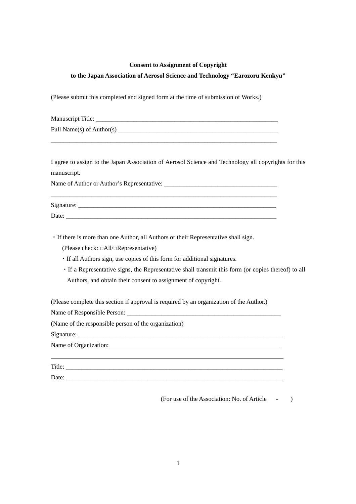# **Consent to Assignment of Copyright**

# **to the Japan Association of Aerosol Science and Technology "Earozoru Kenkyu"**

(Please submit this completed and signed form at the time of submission of Works.)

| Manuscript Title:         |  |
|---------------------------|--|
| Full Name(s) of Author(s) |  |

 $\_$  ,  $\_$  ,  $\_$  ,  $\_$  ,  $\_$  ,  $\_$  ,  $\_$  ,  $\_$  ,  $\_$  ,  $\_$  ,  $\_$  ,  $\_$  ,  $\_$  ,  $\_$  ,  $\_$  ,  $\_$  ,  $\_$  ,  $\_$  ,  $\_$  ,  $\_$  ,  $\_$  ,  $\_$  ,  $\_$  ,  $\_$  ,  $\_$  ,  $\_$  ,  $\_$  ,  $\_$  ,  $\_$  ,  $\_$  ,  $\_$  ,  $\_$  ,  $\_$  ,  $\_$  ,  $\_$  ,  $\_$  ,  $\_$  ,

I agree to assign to the Japan Association of Aerosol Science and Technology all copyrights for this manuscript.

Name of Author or Author's Representative: \_\_\_\_\_\_\_\_\_\_\_\_\_\_\_\_\_\_\_\_\_\_\_\_\_\_\_\_\_\_\_\_\_\_\_\_

| $\sim$<br>ີ່ |  | __________ | ___________<br>______ |
|--------------|--|------------|-----------------------|
| Dav          |  |            |                       |

\_\_\_\_\_\_\_\_\_\_\_\_\_\_\_\_\_\_\_\_\_\_\_\_\_\_\_\_\_\_\_\_\_\_\_\_\_\_\_\_\_\_\_\_\_\_\_\_\_\_\_\_\_\_\_\_\_\_\_\_\_\_\_\_\_\_\_\_\_\_\_\_

・If there is more than one Author, all Authors or their Representative shall sign.

(Please check: □All/□Representative)

・If all Authors sign, use copies of this form for additional signatures.

・If a Representative signs, the Representative shall transmit this form (or copies thereof) to all Authors, and obtain their consent to assignment of copyright.

(Please complete this section if approval is required by an organization of the Author.)

Name of Responsible Person:

(Name of the responsible person of the organization)

Signature: \_\_\_\_\_\_\_\_\_\_\_\_\_\_\_\_\_\_\_\_\_\_\_\_\_\_\_\_\_\_\_\_\_\_\_\_\_\_\_\_\_\_\_\_\_\_\_\_\_\_\_\_\_\_\_\_\_\_\_\_\_\_\_\_\_

Name of Organization:

Title: Date: \_\_\_\_\_\_\_\_\_\_\_\_\_\_\_\_\_\_\_\_\_\_\_\_\_\_\_\_\_\_\_\_\_\_\_\_\_\_\_\_\_\_\_\_\_\_\_\_\_\_\_\_\_\_\_\_\_\_\_\_\_\_\_\_\_\_\_\_\_

(For use of the Association: No. of Article - )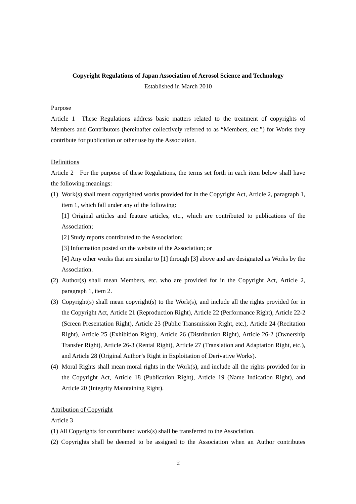# **Copyright Regulations of Japan Association of Aerosol Science and Technology**  Established in March 2010

# Purpose

Article 1 These Regulations address basic matters related to the treatment of copyrights of Members and Contributors (hereinafter collectively referred to as "Members, etc.") for Works they contribute for publication or other use by the Association.

# Definitions

Article 2 For the purpose of these Regulations, the terms set forth in each item below shall have the following meanings:

(1) Work(s) shall mean copyrighted works provided for in the Copyright Act, Article 2, paragraph 1, item 1, which fall under any of the following:

[1] Original articles and feature articles, etc., which are contributed to publications of the Association;

- [2] Study reports contributed to the Association;
- [3] Information posted on the website of the Association; or

[4] Any other works that are similar to [1] through [3] above and are designated as Works by the Association.

- (2) Author(s) shall mean Members, etc. who are provided for in the Copyright Act, Article 2, paragraph 1, item 2.
- (3) Copyright(s) shall mean copyright(s) to the Work(s), and include all the rights provided for in the Copyright Act, Article 21 (Reproduction Right), Article 22 (Performance Right), Article 22-2 (Screen Presentation Right), Article 23 (Public Transmission Right, etc.), Article 24 (Recitation Right), Article 25 (Exhibition Right), Article 26 (Distribution Right), Article 26-2 (Ownership Transfer Right), Article 26-3 (Rental Right), Article 27 (Translation and Adaptation Right, etc.), and Article 28 (Original Author's Right in Exploitation of Derivative Works).
- (4) Moral Rights shall mean moral rights in the Work(s), and include all the rights provided for in the Copyright Act, Article 18 (Publication Right), Article 19 (Name Indication Right), and Article 20 (Integrity Maintaining Right).

# Attribution of Copyright

# Article 3

- (1) All Copyrights for contributed work(s) shall be transferred to the Association.
- (2) Copyrights shall be deemed to be assigned to the Association when an Author contributes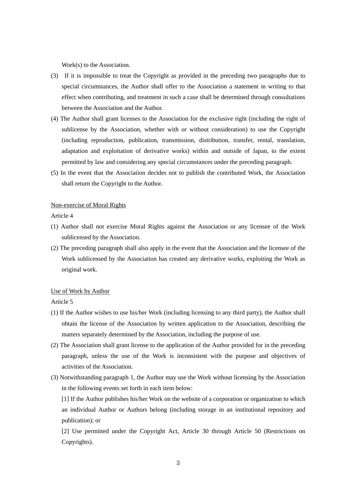Work(s) to the Association.

- (3) If it is impossible to treat the Copyright as provided in the preceding two paragraphs due to special circumstances, the Author shall offer to the Association a statement in writing to that effect when contributing, and treatment in such a case shall be determined through consultations between the Association and the Author.
- (4) The Author shall grant licenses to the Association for the exclusive right (including the right of sublicense by the Association, whether with or without consideration) to use the Copyright (including reproduction, publication, transmission, distribution, transfer, rental, translation, adaptation and exploitation of derivative works) within and outside of Japan, to the extent permitted by law and considering any special circumstances under the preceding paragraph.
- (5) In the event that the Association decides not to publish the contributed Work, the Association shall return the Copyright to the Author.

#### Non-exercise of Moral Rights

Article 4

- (1) Author shall not exercise Moral Rights against the Association or any licensee of the Work sublicensed by the Association.
- (2) The preceding paragraph shall also apply in the event that the Association and the licensee of the Work sublicensed by the Association has created any derivative works, exploiting the Work as original work.

### Use of Work by Author

Article 5

- (1) If the Author wishes to use his/her Work (including licensing to any third party), the Author shall obtain the license of the Association by written application to the Association, describing the matters separately determined by the Association, including the purpose of use.
- (2) The Association shall grant license to the application of the Author provided for in the preceding paragraph, unless the use of the Work is inconsistent with the purpose and objectives of activities of the Association.
- (3) Notwithstanding paragraph 1, the Author may use the Work without licensing by the Association in the following events set forth in each item below:

[1] If the Author publishes his/her Work on the website of a corporation or organization to which an individual Author or Authors belong (including storage in an institutional repository and publication); or

[2] Use permitted under the Copyright Act, Article 30 through Article 50 (Restrictions on Copyrights).